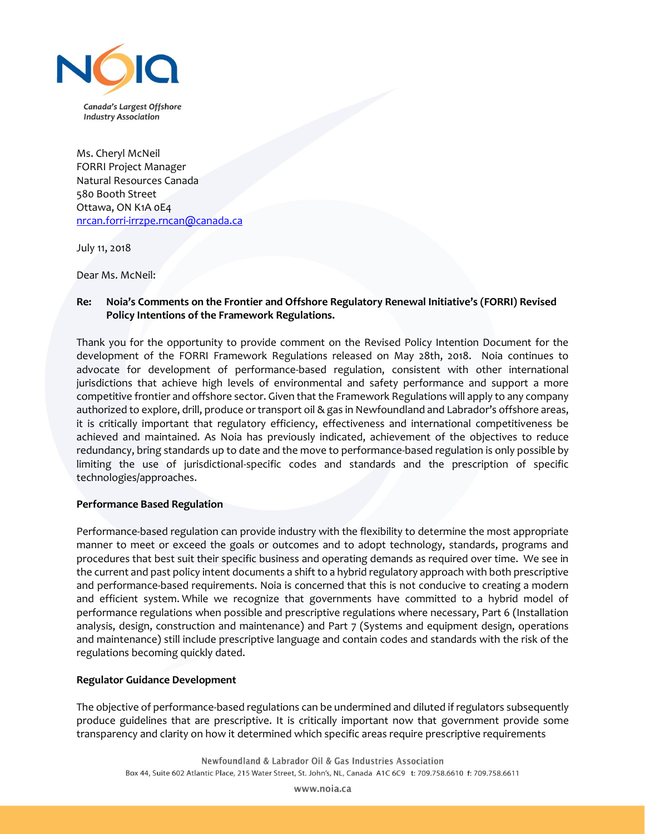

Ms. Cheryl McNeil FORRI Project Manager Natural Resources Canada 580 Booth Street Ottawa, ON K1A 0E4 [nrcan.forri-irrzpe.rncan@canada.ca](mailto:nrcan.forri-irrzpe.rncan@canada.ca)

July 11, 2018

Dear Ms. McNeil:

## **Re: Noia's Comments on the Frontier and Offshore Regulatory Renewal Initiative's (FORRI) Revised Policy Intentions of the Framework Regulations.**

Thank you for the opportunity to provide comment on the Revised Policy Intention Document for the development of the FORRI Framework Regulations released on May 28th, 2018. Noia continues to advocate for development of performance-based regulation, consistent with other international jurisdictions that achieve high levels of environmental and safety performance and support a more competitive frontier and offshore sector. Given that the Framework Regulations will apply to any company authorized to explore, drill, produce or transport oil & gas in Newfoundland and Labrador's offshore areas, it is critically important that regulatory efficiency, effectiveness and international competitiveness be achieved and maintained. As Noia has previously indicated, achievement of the objectives to reduce redundancy, bring standards up to date and the move to performance-based regulation is only possible by limiting the use of jurisdictional-specific codes and standards and the prescription of specific technologies/approaches.

## **Performance Based Regulation**

Performance-based regulation can provide industry with the flexibility to determine the most appropriate manner to meet or exceed the goals or outcomes and to adopt technology, standards, programs and procedures that best suit their specific business and operating demands as required over time. We see in the current and past policy intent documents a shift to a hybrid regulatory approach with both prescriptive and performance-based requirements. Noia is concerned that this is not conducive to creating a modern and efficient system. While we recognize that governments have committed to a hybrid model of performance regulations when possible and prescriptive regulations where necessary, Part 6 (Installation analysis, design, construction and maintenance) and Part 7 (Systems and equipment design, operations and maintenance) still include prescriptive language and contain codes and standards with the risk of the regulations becoming quickly dated.

## **Regulator Guidance Development**

The objective of performance-based regulations can be undermined and diluted if regulators subsequently produce guidelines that are prescriptive. It is critically important now that government provide some transparency and clarity on how it determined which specific areas require prescriptive requirements